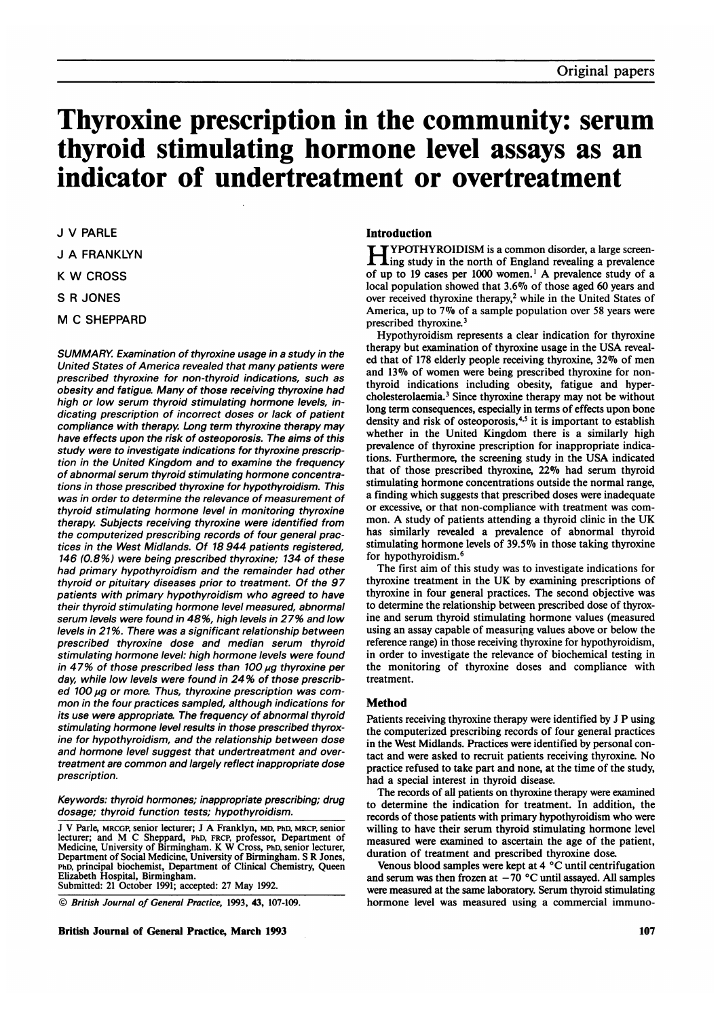# Thyroxine prescription in the community: serum thyroid stimulating hormone level assays as an indicator of undertreatment or overtreatment

J V PARLE J A FRANKLYN <sup>K</sup> W CROSS S R JONES M C SHEPPARD

SUMMARY. Examination of thyroxine usage in a study in the United States of America revealed that many patients were prescribed thyroxine for non-thyroid indications, such as obesity and fatigue. Many of those receiving thyroxine had high or low serum thyroid stimulating hormone levels, indicating prescription of incorrect doses or lack of patient compliance with therapy. Long term thyroxine therapy may have effects upon the risk of osteoporosis. The aims of this study were to investigate indications for thyroxine prescription in the United Kingdom and to examine the frequency of abnormal serum thyroid stimulating hormone concentrations in those prescribed thyroxine for hypothyroidism. This was in order to determine the relevance of measurement of thyroid stimulating hormone level in monitoring thyroxine therapy. Subjects receiving thyroxine were identified from the computerized prescribing records of four general practices in the West Midlands. Of 18 944 patients registered, 146 (0.8%) were being prescribed thyroxine; 134 of these had primary hypothyroidism and the remainder had other thyroid or pituitary diseases prior to treatment. Of the 97 patients with primary hypothyroidism who agreed to have their thyroid stimulating hormone level measured, abnormal serum levels were found in 48%, high levels in 27% and low levels in 21%. There was a significant relationship between prescribed thyroxine dose and median serum thyroid stimulating hormone level: high hormone levels were found in 47% of those prescribed less than 100  $\mu$ g thyroxine per day, while low levels were found in 24 % of those prescribed 100  $\mu$ g or more. Thus, thyroxine prescription was common in the four practices sampled, although indications for its use were appropriate. The frequency of abnormal thyroid stimulating hormone level results in those prescribed thyroxine for hypothyroidism, and the relationship between dose and hormone level suggest that undertreatment and overtreatment are common and largely reflect inappropriate dose prescription.

Keywords: thyroid hormones; inappropriate prescribing; drug dosage; thyroid function tests; hypothyroidism.

<sup>J</sup> V Parle, MRCGP, senior lecturer; <sup>J</sup> A Franklyn, MD, PhD, MRCP, senior lecturer; and M C Sheppard, PhD, FRCP, professor, Department of Medicine, University of Birmingham. K W Cross, PhD, senior lecturer, Department of Social Medicine, University of Birmingham. S R Jones, PhD, principal biochemist, Department of Clinical Chemistry, Queen Elizabeth Hospital, Birmingham. Submitted: <sup>21</sup> October 1991; accepted: 27 May 1992.

© British Journal of General Practice, 1993, 43, 107-109.

British Journal of General Practice, March 1993 107 and the state of the state of the state of the state of the state of the state of the state of the state of the state of the state of the state of the state of the state

# Introduction

YPOTHYROIDISM is a common disorder, a large screen- $\mathbf 1$ ing study in the north of England revealing a prevalence of up to <sup>19</sup> cases per <sup>1000</sup> women.' A prevalence study of <sup>a</sup> local population showed that 3.67o of those aged 60 years and over received thyroxine therapy,<sup>2</sup> while in the United States of America, up to 7% of <sup>a</sup> sample population over <sup>58</sup> years were prescribed thyroxine.3

Hypothyroidism represents a clear indication for thyroxine therapy but examination of thyroxine usage in the USA revealed that of 178 elderly people receiving thyroxine, 32% of men and 13% of women were being prescribed thyroxine for nonthyroid indications including obesity, fatigue and hypercholesterolaemia.<sup>3</sup> Since thyroxine therapy may not be without long term consequences, especially in terms of effects upon bone density and risk of osteoporosis,<sup>4,5</sup> it is important to establish whether in the United Kingdom there is a similarly high prevalence of thyroxine prescription for inappropriate indications. Furthermore, the screening study in the USA indicated that of those prescribed thyroxine, 22% had serum thyroid stimulating hormone concentrations outside the normal range, a finding which suggests that prescribed doses were inadequate or excessive, or that non-compliance with treatment was common. A study of patients attending <sup>a</sup> thyroid clinic in the UK has similarly revealed a prevalence of abnormal thyroid stimulating hormone levels of  $39.5\%$  in those taking thyroxine for hypothyroidism.6

The first aim of this study was to investigate indications for thyroxine treatment in the UK by examining prescriptions of thyroxine in four general practices. The second objective was to determine the relationship between prescribed dose of thyroxine and serum thyroid stimulating hormone values (measured using an assay capable of measuring values above or below the reference range) in those receiving thyroxine for hypothyroidism, in order to investigate the relevance of biochemical testing in the monitoring of thyroxine doses and compliance with treatment.

## Method

Patients receiving thyroxine therapy were identified by <sup>J</sup> P using the computerized prescribing records of four general practices in the West Midlands. Practices were identified by personal contact and were asked to recruit patients receiving thyroxine. No practice refused to take part and none, at the time of the study, had a special interest in thyroid disease.

The records of all patients on thyroxine therapy were examined to determine the indication for treatment. In addition, the records of those patients with primary hypothyroidism who were willing to have their serum thyroid stimulating hormone level measured were examined to ascertain the age of the patient, duration of treatment and prescribed thyroxine dose.

Venous blood samples were kept at 4 °C until centrifugation and serum was then frozen at  $-70$  °C until assayed. All samples were measured at the same laboratory. Serum thyroid stimulating hormone level was measured using a commercial immuno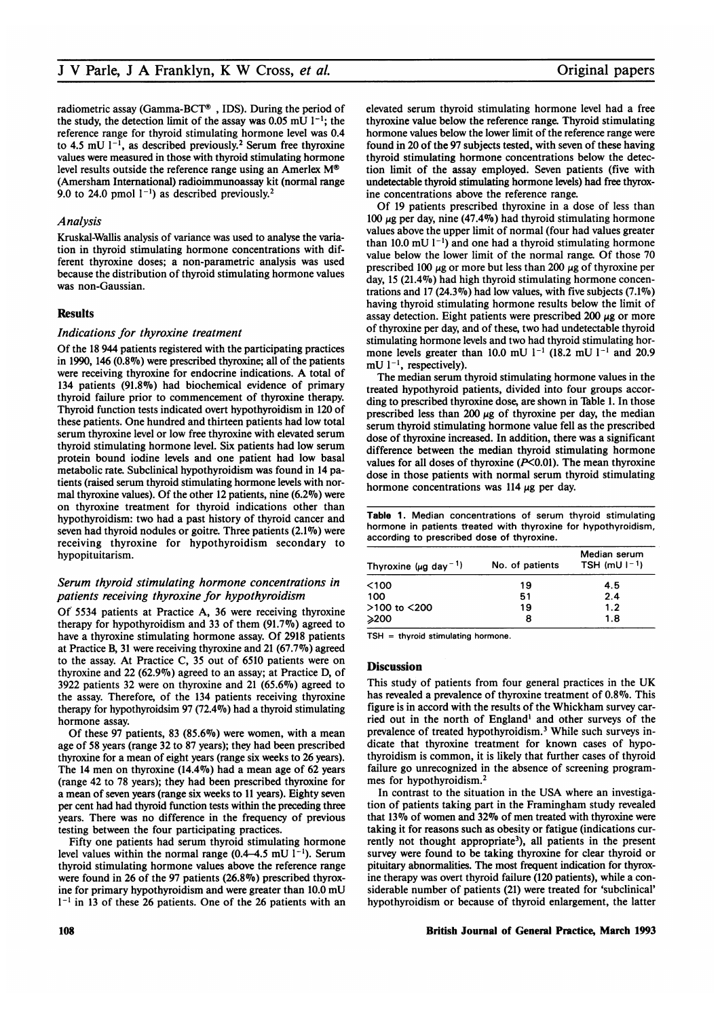radiometric assay (Gamma-BCT®, IDS). During the period of the study, the detection limit of the assay was 0.05 mU  $1^{-1}$ ; the reference range for thyroid stimulating hormone level was 0.4 to 4.5 mU  $1^{-1}$ , as described previously.<sup>2</sup> Serum free thyroxine values were measured in those with thyroid stimulating hormone level results outside the reference range using an Amerlex  $M^{\odot}$ (Amersham International) radioimmunoassay kit (normal range 9.0 to 24.0 pmol  $1^{-1}$ ) as described previously.<sup>2</sup>

## Analysis

Kruskal-Wallis analysis of variance was used to analyse the variation in thyroid stimulating hormone concentrations with different thyroxine doses; a non-parametric analysis was used because the distribution of thyroid stimulating hormone values was non-Gaussian.

## **Results**

#### Indications for thyroxine treatment

Of the 18 944 patients registered with the participating practices in 1990, 146  $(0.8\%)$  were prescribed thyroxine; all of the patients were receiving thyroxine for endocrine indications. A total of 134 patients (91.8%) had biochemical evidence of primary thyroid failure prior to commencement of thyroxine therapy. Thyroid function tests indicated overt hypothyroidism in 120 of these patients. One hundred and thirteen patients had low total serum thyroxine level or low free thyroxine with elevated serum thyroid stimulating hormone level. Six patients had low serum protein bound iodine levels and one patient had low basal metabolic rate. Subclinical hypothyroidism was found in 14 patients (raised serum thyroid stimulating hormone levels with normal thyroxine values). Of the other 12 patients, nine  $(6.2\%)$  were on thyroxine treatment for thyroid indications other than hypothyroidism: two had a past history of thyroid cancer and seven had thyroid nodules or goitre. Three patients (2.1%) were receiving thyroxine for hypothyroidism secondary to hypopituitarism.

## Serum thyroid stimulating hormone concentrations in patients receiving thyroxine for hypothyroidism

Of 5534 patients at Practice A, 36 were receiving thyroxine therapy for hypothyroidism and 33 of them  $(91.7\%)$  agreed to have a thyroxine stimulating hormone assay. Of 2918 patients at Practice B, 31 were receiving thyroxine and 21 (67.7%o) agreed to the assay. At Practice C, 35 out of 6510 patients were on thyroxine and  $22(62.9\%)$  agreed to an assay; at Practice D, of 3922 patients 32 were on thyroxine and 21  $(65.6\%)$  agreed to the assay. Therefore, of the 134 patients receiving thyroxine therapy for hypothyroidsim 97 (72.47o) had a thyroid stimulating hormone assay.

Of these 97 patients, 83 (85.6%) were women, with a mean age of 58 years (range 32 to 87 years); they had been prescribed thyroxine for a mean of eight years (range six weeks to 26 years). The <sup>14</sup> men on thyroxine (14.47o) had a mean age of 62 years (range 42 to 78 years); they had been prescribed thyroxine for a mean of seven years (range six weeks to <sup>11</sup> years). Eighty seven per cent had had thyroid function tests within the preceding three years. There was no difference in the frequency of previous testing between the four participating practices.

Fifty one patients had serum thyroid stimulating hormone level values within the normal range (0.4–4.5 mU  $1^{-1}$ ). Serum thyroid stimulating hormone values above the reference range were found in 26 of the 97 patients (26.8%) prescribed thyroxine for primary hypothyroidism and were greater than 10.0 mU  $1<sup>-1</sup>$  in 13 of these 26 patients. One of the 26 patients with an

elevated serum thyroid stimulating hormone level had a free thyroxine value below the reference range. Thyroid stimulating hormone values below the lower limit of the reference range were found in 20 of the 97 subjects tested, with seven of these having thyroid stimulating hormone concentrations below the detection limit of the assay employed. Seven patients (five with undetectable thyroid stimulating hormone levels) had free thyroxine concentrations above the reference range.

Of 19 patients prescribed thyroxine in a dose of less than 100  $\mu$ g per day, nine (47.4%) had thyroid stimulating hormone values above the upper limit of normal (four had values greater than 10.0 mU  $1^{-1}$ ) and one had a thyroid stimulating hormone value below the lower limit of the normal range. Of those 70 prescribed 100  $\mu$ g or more but less than 200  $\mu$ g of thyroxine per day, 15 (21.4%) had high thyroid stimulating hormone concentrations and 17 (24.3%) had low values, with five subjects  $(7.1\%)$ having thyroid stimulating hormone results below the limit of assay detection. Eight patients were prescribed 200  $\mu$ g or more of thyroxine per day, and of these, two had undetectable thyroid stimulating hormone levels and two had thyroid stimulating hormone levels greater than 10.0 mU  $1^{-1}$  (18.2 mU  $1^{-1}$  and 20.9  $mU$   $1^{-1}$ , respectively).

The median serum thyroid stimulating hormone values in the treated hypothyroid patients, divided into four groups according to prescribed thyroxine dose, are shown in Table 1. In those prescribed less than 200  $\mu$ g of thyroxine per day, the median serum thyroid stimulating hormone value fell as the prescribed dose of thyroxine increased. In addition, there was a significant difference between the median thyroid stimulating hormone values for all doses of thyroxine  $(P<0.01)$ . The mean thyroxine dose in those patients with normal serum thyroid stimulating hormone concentrations was 114  $\mu$ g per day.

|  |                                            |  | Table 1. Median concentrations of serum thyroid stimulating    |
|--|--------------------------------------------|--|----------------------------------------------------------------|
|  |                                            |  | hormone in patients treated with thyroxine for hypothyroidism. |
|  | according to prescribed dose of thyroxine. |  |                                                                |

| Thyroxine ( $\mu$ g day <sup>-1</sup> ) | No. of patients | Median serum<br>TSH (mU $1-1$ ) |  |
|-----------------------------------------|-----------------|---------------------------------|--|
| <100                                    | 19              | 4.5                             |  |
| 100                                     | 51              | 2.4                             |  |
| >100 to <200                            | 19              | 1.2                             |  |
| ≫200                                    | 8               | 1.8                             |  |

 $TSH =$  thyroid stimulating hormone.

#### **Discussion**

This study of patients from four general practices in the UK has revealed a prevalence of thyroxine treatment of 0.8%. This figure is in accord with the results of the Whickham survey carried out in the north of England' and other surveys of the prevalence of treated hypothyroidism.3 While such surveys indicate that thyroxine treatment for known cases of hypothyroidism is common, it is likely that further cases of thyroid failure go unrecognized in the absence of screening programmes for hypothyroidism.2

In contrast to the situation in the USA where an investigation of patients taking part in the Framingham study revealed that 13% of women and 32% of men treated with thyroxine were taking it for reasons such as obesity or fatigue (indications currently not thought appropriate<sup>3</sup>), all patients in the present survey were found to be taking thyroxine for clear thyroid or pituitary abnormalities. The most frequent indication for thyroxine therapy was overt thyroid failure (120 patients), while a considerable number of patients (21) were treated for 'subclinical' hypothyroidism or because of thyroid enlargement, the latter